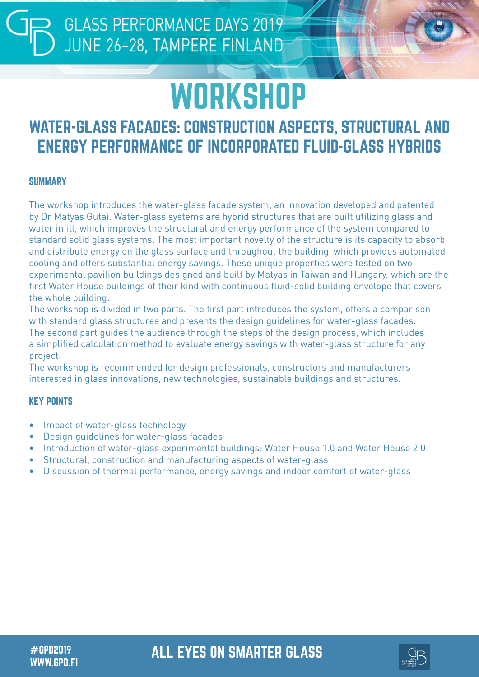## **WORKSHOP**

### WATER-GLASS FACADES: CONSTRUCTION ASPECTS, STRUCTURAL AND ENERGY PERFORMANCE OF INCORPORATED FLUID-GLASS HYBRIDS

### **SUMMARY**

The workshop introduces the water-glass facade system, an innovation developed and patented by Dr Matyas Gutai. Water-glass systems are hybrid structures that are built utilizing glass and water infill, which improves the structural and energy performance of the system compared to standard solid glass systems. The most important novelty of the structure is its capacity to absorb and distribute energy on the glass surface and throughout the building, which provides automated cooling and offers substantial energy savings. These unique properties were tested on two experimental pavilion buildings designed and built by Matyas in Taiwan and Hungary, which are the first Water House buildings of their kind with continuous fluid-solid building envelope that covers the whole building.

The workshop is divided in two parts. The first part introduces the system, offers a comparison with standard glass structures and presents the design guidelines for water-glass facades. The second part guides the audience through the steps of the design process, which includes a simplified calculation method to evaluate energy savings with water-glass structure for any project.

The workshop is recommended for design professionals, constructors and manufacturers interested in glass innovations, new technologies, sustainable buildings and structures.

### KEY POINTS

- Impact of water-glass technology
- Design guidelines for water-glass facades
- Introduction of water-glass experimental buildings: Water House 1.0 and Water House 2.0
- Structural, construction and manufacturing aspects of water-glass
- Discussion of thermal performance, energy savings and indoor comfort of water-glass